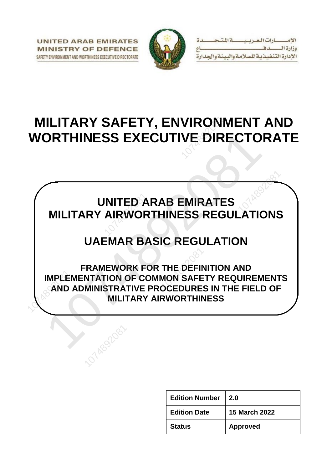

# **MILITARY SAFETY, ENVIRONMENT AND WORTHINESS EXECUTIVE DIRECTORATE**

# **UNITED ARAB EMIRATES MILITARY AIRWORTHINESS REGULATIONS**

# **UAEMAR BASIC REGULATION**

**FRAMEWORK FOR THE DEFINITION AND IMPLEMENTATION OF COMMON SAFETY REQUIREMENTS AND ADMINISTRATIVE PROCEDURES IN THE FIELD OF MILITARY AIRWORTHINESS** UNITED ARAB EMIRATES<br>
MILITARY AIRWORTHINESS REGULATION<br>
UAEMAR BASIC REGULATION<br>
FRAMEWORK FOR THE DEFINITION AND<br>
MPLEMENTATION OF COMMON SAFETY REQUIREMEN<br>
AND ADMINISTRATIVE PROCEDURES IN THE FIELD (<br>
MILITARY AIRWORTH MILITARY SAFETY, ENVIRONI<br>
WORTHINESS EXECUTIVE DIR<br>
UNITED ARAB EMIRATE<br>
MILITARY AIRWORTHINESS REG<br>
UAEMAR BASIC REGULAT<br>
FRAMEWORK FOR THE DEFINITION<br>
MPLEMENTATION OF COMMON SAFETY RI<br>
AND ADMINISTRATIVE PROCEDURES IN UNITED ARAB EMIRATES<br>
RY AIRWORTHINESS REGULATIONS<br>
UAEMAR BASIC REGULATION<br>
FRAMEWORK FOR THE DEFINITION AND<br>
NTATION OF COMMON SAFETY REQUIREMENT<br>
MINISTRATIVE PROCEDURES IN THE FIELD OF<br>
MILITARY AIRWORTHINESS

| <b>Edition Number</b> | 2.0                  |
|-----------------------|----------------------|
| <b>Edition Date</b>   | <b>15 March 2022</b> |
| <b>Status</b>         | <b>Approved</b>      |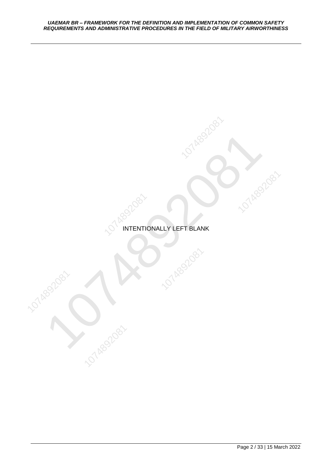# Bacos Company Left BLANK 10748920 1.074892081 1074892081 1074892081 1074892082 1074892082 1074892082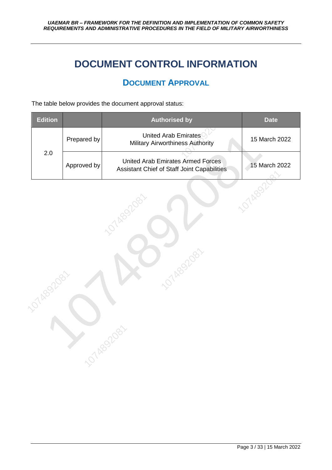# <span id="page-2-0"></span>**DOCUMENT CONTROL INFORMATION**

## **DOCUMENT APPROVAL**

<span id="page-2-1"></span>The table below provides the document approval status:

|                                                                         | <b>Edition</b> |             | <b>Authorised by</b>                                                                    | <b>Date</b>   |  |  |
|-------------------------------------------------------------------------|----------------|-------------|-----------------------------------------------------------------------------------------|---------------|--|--|
|                                                                         |                | Prepared by | United Arab Emirates<br>Military Airworthiness Authority                                | 15 March 2022 |  |  |
|                                                                         | 2.0            | Approved by | <b>United Arab Emirates Armed Forces</b><br>Assistant Chief of Staff Joint Capabilities | 15 March 2022 |  |  |
| $d^{\prime}$<br><b>MARON</b><br>or Agospes<br><b>OTABOORR</b><br>JARBOZ |                |             |                                                                                         |               |  |  |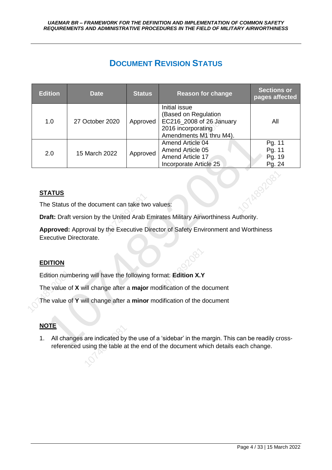## **DOCUMENT REVISION STATUS**

<span id="page-3-0"></span>

| <b>Edition</b>                                                                                              | <b>Date</b>     | <b>Status</b>                                                                                                                                                                     | <b>Reason for change</b>                                                                                           | <b>Sections or</b><br>pages affected |  |  |  |
|-------------------------------------------------------------------------------------------------------------|-----------------|-----------------------------------------------------------------------------------------------------------------------------------------------------------------------------------|--------------------------------------------------------------------------------------------------------------------|--------------------------------------|--|--|--|
| 1.0                                                                                                         | 27 October 2020 | Approved                                                                                                                                                                          | Initial issue<br>(Based on Regulation<br>EC216_2008 of 26 January<br>2016 incorporating<br>Amendments M1 thru M4). | All                                  |  |  |  |
| 2.0                                                                                                         | 15 March 2022   | Approved                                                                                                                                                                          | Amend Article 04<br>Amend Article 05<br><b>Amend Article 17</b><br>Incorporate Article 25                          | Pg. 11<br>Pg. 11<br>Pg. 19<br>Pg. 24 |  |  |  |
|                                                                                                             |                 |                                                                                                                                                                                   |                                                                                                                    |                                      |  |  |  |
| <b>STATUS</b>                                                                                               |                 |                                                                                                                                                                                   |                                                                                                                    |                                      |  |  |  |
| The Status of the document can take two values:                                                             |                 |                                                                                                                                                                                   |                                                                                                                    |                                      |  |  |  |
|                                                                                                             |                 |                                                                                                                                                                                   | Draft: Draft version by the United Arab Emirates Military Airworthiness Authority.                                 |                                      |  |  |  |
| Approved: Approval by the Executive Director of Safety Environment and Worthiness<br>Executive Directorate. |                 |                                                                                                                                                                                   |                                                                                                                    |                                      |  |  |  |
|                                                                                                             |                 |                                                                                                                                                                                   |                                                                                                                    |                                      |  |  |  |
| <b>EDITION</b>                                                                                              |                 |                                                                                                                                                                                   |                                                                                                                    |                                      |  |  |  |
| Edition numbering will have the following format: Edition X.Y                                               |                 |                                                                                                                                                                                   |                                                                                                                    |                                      |  |  |  |
| The value of X will change after a major modification of the document                                       |                 |                                                                                                                                                                                   |                                                                                                                    |                                      |  |  |  |
| The value of Y will change after a minor modification of the document                                       |                 |                                                                                                                                                                                   |                                                                                                                    |                                      |  |  |  |
| <b>NOTE</b>                                                                                                 |                 |                                                                                                                                                                                   |                                                                                                                    |                                      |  |  |  |
| 1.                                                                                                          |                 | All changes are indicated by the use of a 'sidebar' in the margin. This can be readily cross-<br>referenced using the table at the end of the document which details each change. |                                                                                                                    |                                      |  |  |  |

#### **STATUS**

#### **EDITION**

#### **NOTE**

1. All changes are indicated by the use of a 'sidebar' in the margin. This can be readily crosse document can take two values:<br>
ion by the United Arab Emirates Military Airworthiness Authority.<br>
Iowal by the Executive Director of Safety Environment and Worthiness<br>
orate.<br>
In the security Director of Safety Environme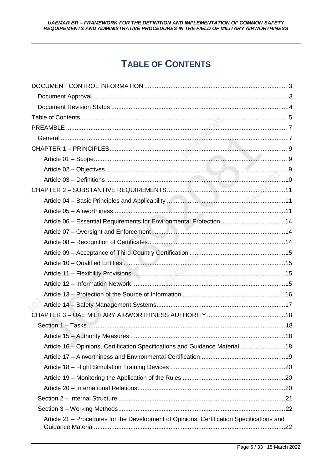## **TABLE OF CONTENTS**

<span id="page-4-0"></span>

| Article 06 - Essential Requirements for Environmental Protection 14                       |
|-------------------------------------------------------------------------------------------|
|                                                                                           |
|                                                                                           |
|                                                                                           |
|                                                                                           |
|                                                                                           |
|                                                                                           |
|                                                                                           |
|                                                                                           |
|                                                                                           |
|                                                                                           |
|                                                                                           |
| Article 16 - Opinions, Certification Specifications and Guidance Material18               |
|                                                                                           |
|                                                                                           |
|                                                                                           |
|                                                                                           |
|                                                                                           |
|                                                                                           |
| Article 21 - Procedures for the Development of Opinions, Certification Specifications and |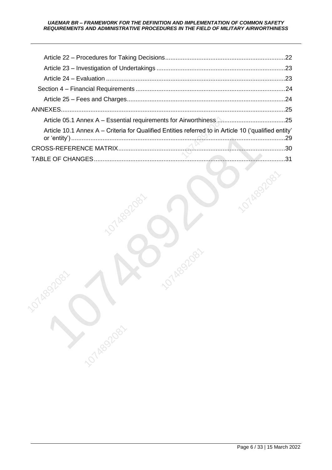| Article 05.1 Annex A - Essential requirements for Airworthiness Manuscritt 25                        |
|------------------------------------------------------------------------------------------------------|
| Article 10.1 Annex A - Criteria for Qualified Entities referred to in Article 10 ('qualified entity' |
|                                                                                                      |
|                                                                                                      |
|                                                                                                      |

10Thespeed of Mariage Contractions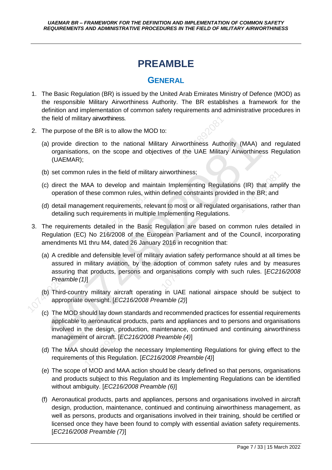## **PREAMBLE**

#### **GENERAL**

- <span id="page-6-1"></span><span id="page-6-0"></span>1. The Basic Regulation (BR) is issued by the United Arab Emirates Ministry of Defence (MOD) as the responsible Military Airworthiness Authority. The BR establishes a framework for the definition and implementation of common safety requirements and administrative procedures in the field of military airworthiness.
- 2. The purpose of the BR is to allow the MOD to:
	- (a) provide direction to the national Military Airworthiness Authority (MAA) and regulated organisations, on the scope and objectives of the UAE Military Airworthiness Regulation (UAEMAR);
	- (b) set common rules in the field of military airworthiness;
	- (c) direct the MAA to develop and maintain Implementing Regulations (IR) that amplify the operation of these common rules, within defined constraints provided in the BR; and
	- (d) detail management requirements, relevant to most or all regulated organisations, rather than detailing such requirements in multiple Implementing Regulations.
- 3. The requirements detailed in the Basic Regulation are based on common rules detailed in Regulation (EC) No 216/2008 of the European Parliament and of the Council, incorporating amendments M1 thru M4, dated 26 January 2016 in recognition that:
- (a) A credible and defensible level of military aviation safety performance should at all times be assured in military aviation, by the adoption of common safety rules and by measures assuring that products, persons and organisations comply with such rules. [*EC216/2008 Preamble (1)*] (a) provide direction to the national Military Airworthiness Authority (MAA) and<br>organisations, on the scope and objectives of the UAE Military Airworthiness (UAEMAR);<br>(UAEMAR);<br>solve the MAA to develop and maintain imple 107489208 the field of military anworthness.<br>
2. The purpose of the BR is to allow the MOD to:<br>
(a) provide direction to the national Military Airworthiness Author<br>
organisations, on the scope and objectives of the UAE Mil I rules in the field of military airworthiness;<br>
AAA to develop and maintain Implementing Regulations (IR) that amy<br>
these common rules, within defined constraints provided in the BR; and<br>
gement requirements, relevant to
	- (b) Third-country military aircraft operating in UAE national airspace should be subject to appropriate oversight. [*EC216/2008 Preamble (2)*]
	- (c) The MOD should lay down standards and recommended practices for essential requirements applicable to aeronautical products, parts and appliances and to persons and organisations involved in the design, production, maintenance, continued and continuing airworthiness management of aircraft. [*EC216/2008 Preamble (4)*]
	- (d) The MAA should develop the necessary Implementing Regulations for giving effect to the requirements of this Regulation. [*EC216/2008 Preamble (4)*]
	- (e) The scope of MOD and MAA action should be clearly defined so that persons, organisations and products subject to this Regulation and its Implementing Regulations can be identified without ambiguity. [*EC216/2008 Preamble (6)*]
	- (f) Aeronautical products, parts and appliances, persons and organisations involved in aircraft design, production, maintenance, continued and continuing airworthiness management, as well as persons, products and organisations involved in their training, should be certified or licensed once they have been found to comply with essential aviation safety requirements. [*EC216/2008 Preamble (7)*]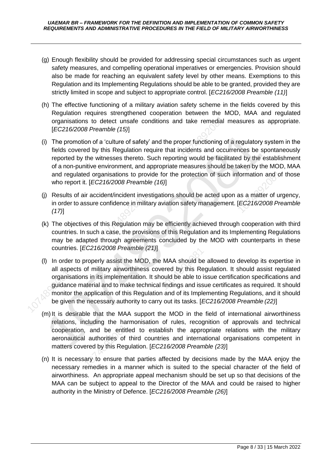- (g) Enough flexibility should be provided for addressing special circumstances such as urgent safety measures, and compelling operational imperatives or emergencies. Provision should also be made for reaching an equivalent safety level by other means. Exemptions to this Regulation and its Implementing Regulations should be able to be granted, provided they are strictly limited in scope and subject to appropriate control. [*EC216/2008 Preamble (11)*]
- (h) The effective functioning of a military aviation safety scheme in the fields covered by this Regulation requires strengthened cooperation between the MOD, MAA and regulated organisations to detect unsafe conditions and take remedial measures as appropriate. [*EC216/2008 Preamble (15)*]
- (i) The promotion of a 'culture of safety' and the proper functioning of a regulatory system in the fields covered by this Regulation require that incidents and occurrences be spontaneously reported by the witnesses thereto. Such reporting would be facilitated by the establishment of a non-punitive environment, and appropriate measures should be taken by the MOD, MAA and regulated organisations to provide for the protection of such information and of those who report it. [*EC216/2008 Preamble (16)*] The promotion of a 'culture of safety' and the proper functioning of a regulatory sy<br>fields covered by this Regulation require that incidents and occurrences be sport<br>eported by the witnesses thereto. Such reporting would organisations to detect unsafe conditions and take remedial<br>
[ $EC2162008$  Preamble (15)]<br>
(i) The promotion of a 'culture of safety' and the proper functioning c<br>
fields covered by this Regulation require that incidents an
	- (j) Results of air accident/incident investigations should be acted upon as a matter of urgency, in order to assure confidence in military aviation safety management. [*EC216/2008 Preamble (17)*]
	- (k) The objectives of this Regulation may be efficiently achieved through cooperation with third countries. In such a case, the provisions of this Regulation and its Implementing Regulations may be adapted through agreements concluded by the MOD with counterparts in these countries. [*EC216/2008 Preamble (21)*]
	- (l) In order to properly assist the MOD, the MAA should be allowed to develop its expertise in all aspects of military airworthiness covered by this Regulation. It should assist regulated organisations in its implementation. It should be able to issue certification specifications and guidance material and to make technical findings and issue certificates as required. It should monitor the application of this Regulation and of its Implementing Regulations, and it should be given the necessary authority to carry out its tasks. [*EC216/2008 Preamble (22)*] d organisations to provide for the protection of such information and ct. [*EC216/2008 Preamble* (16)]<br>ir accident/incident investigations should be acted upon as a matter of u<br>ssure confidence in military aviation safety
	- (m) It is desirable that the MAA support the MOD in the field of international airworthiness relations, including the harmonisation of rules, recognition of approvals and technical cooperation, and be entitled to establish the appropriate relations with the military aeronautical authorities of third countries and international organisations competent in matters covered by this Regulation. [*EC216/2008 Preamble (23)*]
	- (n) It is necessary to ensure that parties affected by decisions made by the MAA enjoy the necessary remedies in a manner which is suited to the special character of the field of airworthiness. An appropriate appeal mechanism should be set up so that decisions of the MAA can be subject to appeal to the Director of the MAA and could be raised to higher authority in the Ministry of Defence. [*EC216/2008 Preamble (26)*]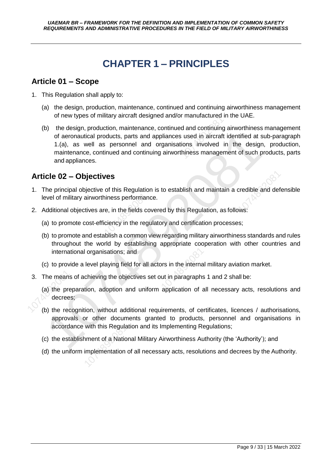# **CHAPTER 1 – PRINCIPLES**

#### <span id="page-8-1"></span><span id="page-8-0"></span>**Article 01 – Scope**

- 1. This Regulation shall apply to:
	- (a) the design, production, maintenance, continued and continuing airworthiness management of new types of military aircraft designed and/or manufactured in the UAE.
- (b) the design, production, maintenance, continued and continuing airworthiness management of aeronautical products, parts and appliances used in aircraft identified at sub-paragraph 1.(a), as well as personnel and organisations involved in the design, production, maintenance, continued and continuing airworthiness management of such products, parts and appliances. or anonaucal potential and deptations, and an elections involved in the design, F<br>
1.(a), as well as personnel and organisations involved in the design, F<br>
maintenance, continued and continuing ainvorthiness management of 1081 the design, production, maintenance, continued and continuing<br>
of aeronautical products, parts and appliances used in aircraft<br>
1.(a), as well as personnel and organisations involved in<br>
maintenance, continued and co

#### <span id="page-8-2"></span>**Article 02 – Objectives**

- 1. The principal objective of this Regulation is to establish and maintain a credible and defensible level of military airworthiness performance.
- 2. Additional objectives are, in the fields covered by this Regulation, as follows:
	- (a) to promote cost-efficiency in the regulatory and certification processes;
	- (b) to promote and establish a common view regarding military airworthiness standards and rules throughout the world by establishing appropriate cooperation with other countries and international organisations; and
	- (c) to provide a level playing field for all actors in the internal military aviation market.
- 3. The means of achieving the objectives set out in paragraphs 1 and 2 shall be:
	- (a) the preparation, adoption and uniform application of all necessary acts, resolutions and decrees;
- (b) the recognition, without additional requirements, of certificates, licences / authorisations, approvals or other documents granted to products, personnel and organisations in accordance with this Regulation and its Implementing Regulations; **bjectives**<br>
bjectives<br>
bjectives are, in the fields covered by this Regulation, as follows:<br>
cost-efficiency in the regulatory and certification processes;<br>
cost-efficiency in the regulatory and certification processes;<br>
	- (c) the establishment of a National Military Airworthiness Authority (the 'Authority'); and
	- (d) the uniform implementation of all necessary acts , resolutions and decrees by the Authority.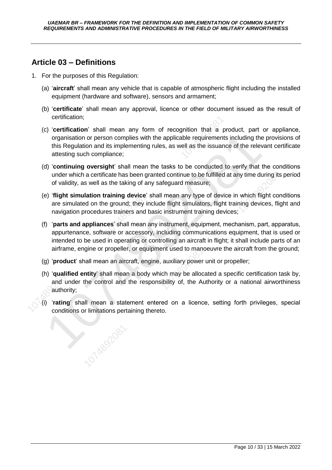#### <span id="page-9-0"></span>**Article 03 – Definitions**

- 1. For the purposes of this Regulation:
	- (a) '**aircraft**' shall mean any vehicle that is capable of atmospheric flight including the installed equipment (hardware and software), sensors and armament;
	- (b) '**certificate**' shall mean any approval, licence or other document issued as the result of certification;
- (c) '**certification**' shall mean any form of recognition that a product, part or appliance, organisation or person complies with the applicable requirements including the provisions of this Regulation and its implementing rules, as well as the issuance of the relevant certificate attesting such compliance; (c) 'certification',<br>
(c) 'certification' shall mean any form of recognition that a p<br>
organisation or person complies with the applicable requirements<br>
this Regulation and its implementing rules, as well as the issuan<br>
at
	- (d) '**continuing oversight**' shall mean the tasks to be conducted to verify that the conditions under which a certificate has been granted continue to be fulfilled at any time during its period of validity, as well as the taking of any safeguard measure;
	- (e) '**flight simulation training device**' shall mean any type of device in which flight conditions are simulated on the ground; they include flight simulators, flight training devices, flight and navigation procedures trainers and basic instrument training devices;
	- (f) '**parts and appliances**' shall mean any instrument, equipment, mechanism, part, apparatus, appurtenance, software or accessory, including communications equipment, that is used or intended to be used in operating or controlling an aircraft in flight; it shall include parts of an airframe, engine or propeller, or equipment used to manoeuvre the aircraft from the ground; organisation or person complets with the application of person complete this Regulation and its implementing rules, as well as the issuance of the relevant attesting such compliance;<br>
	(a) **'continuing oversight'** shall mea a certificate has been granted continue to be fulfilled at any time during its well as the taking of any safeguard measure;<br> **lation training device'** shall mean any type of device in which flight cord on the ground; they
	- (g) '**product**' shall mean an aircraft, engine, auxiliary power unit or propeller;
	- (h) '**qualified entity**' shall mean a body which may be allocated a specific certification task by, and under the control and the responsibility of, the Authority or a national airworthiness authority;
	- (i) '**rating**' shall mean a statement entered on a licence, setting forth privileges, special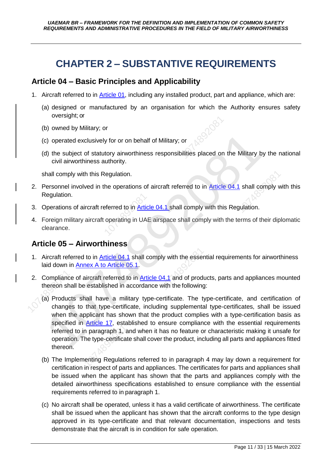## **CHAPTER 2 – SUBSTANTIVE REQUIREMENTS**

#### <span id="page-10-1"></span><span id="page-10-0"></span>**Article 04 – Basic Principles and Applicability**

- 1. Aircraft referred to in Article 01, including any installed product, part and appliance, which are:
	- (a) designed or manufactured by an organisation for which the Authority ensures safety oversight; or
	- (b) owned by Military; or
	- (c) operated exclusively for or on behalf of Military; or
	- (d) the subject of statutory airworthiness responsibilities placed on the Military by the national civil airworthiness authority.

shall comply with this Regulation.

- 2. Personnel involved in the operations of aircraft referred to in Article 04.1 shall comply with this Regulation.
- 3. Operations of aircraft referred to in Article 04.1 shall comply with this Regulation.
- 4. Foreign military aircraft operating in UAE airspace shall comply with the terms of their diplomatic clearance.

#### <span id="page-10-2"></span>**Article 05 – Airworthiness**

- 1. Aircraft referred to in **Article 04.1** shall comply with the essential requirements for airworthiness laid down in **Annex A to Article 05.1**.
- 2. Compliance of aircraft referred to in Article 04.1 and of products, parts and appliances mounted thereon shall be established in accordance with the following:
- (a) Products shall have a military type-certificate. The type-certificate, and certification of changes to that type-certificate, including supplemental type-certificates, shall be issued when the applicant has shown that the product complies with a type-certification basis as specified in Article 17, established to ensure compliance with the essential requirements referred to in paragraph 1, and when it has no feature or characteristic making it unsafe for operation. The type-certificate shall cover the product, including all parts and appliances fitted thereon. b) operated exclusively for or on behalf of Military; or<br>
(a) the subject of statutory airworthiness responsibilities placed on the Military by th<br>
civil airworthiness authority.<br>
In comply with this Regulation.<br>
Electrom 10749393. Considering to the subject of statutory airworthiness responsibilities placed on<br>
107492081 107492081 107492081 107492081 107492081 107492081 107492081 107492081 107492081 107492081 107492081<br>
2. Personnel involv this Regulation.<br>
Wed in the operations of aircraft referred to in Article 04.1 shall comply v<br>
Eicraft referred to in Article 04.1 shall comply with this Regulation.<br>
aircraft operating in UAE airspace shall comply with t
	- (b) The Implementing Regulations referred to in paragraph 4 may lay down a requirement for certification in respect of parts and appliances. The certificates for parts and appliances shall be issued when the applicant has shown that the parts and appliances comply with the detailed airworthiness specifications established to ensure compliance with the essential requirements referred to in paragraph 1.
	- (c) No aircraft shall be operated, unless it has a valid certificate of airworthiness. The certificate shall be issued when the applicant has shown that the aircraft conforms to the type design approved in its type-certificate and that relevant documentation, inspections and tests demonstrate that the aircraft is in condition for safe operation.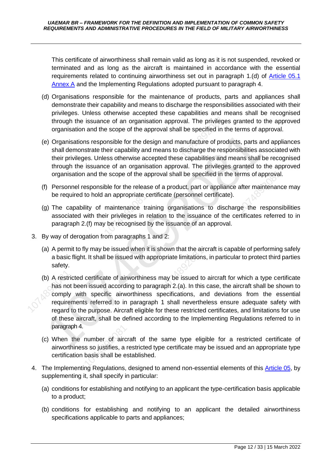This certificate of airworthiness shall remain valid as long as it is not suspended, revoked or terminated and as long as the aircraft is maintained in accordance with the essential requirements related to continuing airworthiness set out in paragraph 1.(d) of **Article 05.1** Annex A and the Implementing Regulations adopted pursuant to paragraph 4.

- (d) Organisations responsible for the maintenance of products, parts and appliances shall demonstrate their capability and means to discharge the responsibilities associated with their privileges. Unless otherwise accepted these capabilities and means shall be recognised through the issuance of an organisation approval. The privileges granted to the approved organisation and the scope of the approval shall be specified in the terms of approval.
- (e) Organisations responsible for the design and manufacture of products, parts and appliances shall demonstrate their capability and means to discharge the responsibilities associated with their privileges. Unless otherwise accepted these capabilities and means shall be recognised through the issuance of an organisation approval. The privileges granted to the approved organisation and the scope of the approval shall be specified in the terms of approval. through the issuance of an organisation approval. The privilege<br>organisation and the scope of the approval shall be specified in t<br>(e) Organisations responsible for the design and manufacture of pro<br>shall demonstrate their
	- (f) Personnel responsible for the release of a product, part or appliance after maintenance may be required to hold an appropriate certificate (personnel certificate).
	- (g) The capability of maintenance training organisations to discharge the responsibilities associated with their privileges in relation to the issuance of the certificates referred to in paragraph 2.(f) may be recognised by the issuance of an approval.
	- 3. By way of derogation from paragraphs 1 and 2:
		- (a) A permit to fly may be issued when it is shown that the aircraft is capable of performing safely a basic flight. It shall be issued with appropriate limitations, in particular to protect third parties safety.
- (b) A restricted certificate of airworthiness may be issued to aircraft for which a type certificate has not been issued according to paragraph 2.(a). In this case, the aircraft shall be shown to comply with specific airworthiness specifications, and deviations from the essential requirements referred to in paragraph 1 shall nevertheless ensure adequate safety with regard to the purpose. Aircraft eligible for these restricted certificates, and limitations for use of these aircraft, shall be defined according to the Implementing Regulations referred to in paragraph 4. (a) originations responsible for the design and manufacture of products, parts and a<br>
shall demonstrate their capability and manufacture of products, parts and a<br>
shall of moriginal demonstrate their capabilities as dured and the scope of the approval shall be specified in the terms of approva<br>
seponsible for the release of a product, part or appliance after maintenant<br>
to hold an appropriate certificate (personnel certificate).<br>
lity of ma
	- (c) When the number of aircraft of the same type eligible for a restricted certificate of airworthiness so justifies, a restricted type certificate may be issued and an appropriate type certification basis shall be established.
	- 4. The Implementing Regulations, designed to amend non-essential elements of this Article 05, by supplementing it, shall specify in particular:
		- (a) conditions for establishing and notifying to an applicant the type-certification basis applicable to a product;
		- (b) conditions for establishing and notifying to an applicant the detailed airworthiness specifications applicable to parts and appliances;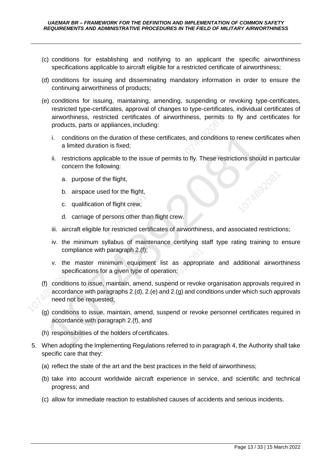- (c) conditions for establishing and notifying to an applicant the specific airworthiness specifications applicable to aircraft eligible for a restricted certificate of airworthiness;
- (d) conditions for issuing and disseminating mandatory information in order to ensure the continuing airworthiness of products;
- (e) conditions for issuing, maintaining, amending, suspending or revoking type-certificates, restricted type-certificates, approval of changes to type-certificates, individual certificates of airworthiness, restricted certificates of airworthiness, permits to fly and certificates for products, parts or appliances, including:
	- i. conditions on the duration of these certificates, and conditions to renew certificates when a limited duration is fixed;
	- ii. restrictions applicable to the issue of permits to fly. These restrictions should in particular concern the following:
		- a. purpose of the flight,
		- b. airspace used for the flight,
		- c. qualification of flight crew,
		- d. carriage of persons other than flight crew.
	- iii. aircraft eligible for restricted certificates of airworthiness, and associated restrictions;
	- iv. the minimum syllabus of maintenance certifying staff type rating training to ensure compliance with paragraph 2.(f);
	- v. the master minimum equipment list as appropriate and additional airworthiness specifications for a given type of operation;
- (f) conditions to issue, maintain, amend, suspend or revoke organisation approvals required in accordance with paragraphs 2.(d), 2.(e) and 2.(g) and conditions under which such approvals need not be requested; 1. conditions on ne our<br>atom of meanwood messe centricates, and conditions to renew certifical<br>at interd duration is fixed;<br>in the following:<br>a. purpose of the flight,<br>b. airspace used for the flight,<br>b. airspace used for anyolutiss, restricted certificates of anyothmiess, permiss<br>products, parts or appliances, including:<br>i. conditions on the duration of these certificates, and conditions<br>a limited duration is fixed;<br>i. restrictions applica ose of the flight,<br>
ification of flight crew,<br>
age of persons other than flight crew.<br>
Eligible for restricted certificates of airworthiness, and associated restriction<br>
iligible for restricted certificates of airworthines
	- (g) conditions to issue, maintain, amend, suspend or revoke personnel certificates required in accordance with paragraph 2.(f), and
	- (h) responsibilities of the holders of certificates.
	- 5. When adopting the Implementing Regulations referred to in paragraph 4, the Authority shall take specific care that they:
		- (a) reflect the state of the art and the best practices in the field of airworthiness;
		- (b) take into account worldwide aircraft experience in service, and scientific and technical progress; and
		- (c) allow for immediate reaction to established causes of accidents and serious incidents.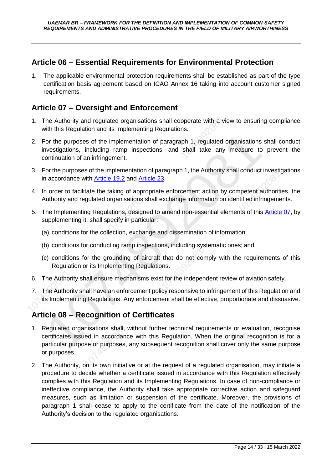#### <span id="page-13-0"></span>**Article 06 – Essential Requirements for Environmental Protection**

1. The applicable environmental protection requirements shall be established as part of the type certification basis agreement based on ICAO Annex 16 taking into account customer signed requirements.

#### <span id="page-13-1"></span>**Article 07 – Oversight and Enforcement**

- 1. The Authority and regulated organisations shall cooperate with a view to ensuring compliance with this Regulation and its Implementing Regulations.
- 2. For the purposes of the implementation of paragraph 1, regulated organisations shall conduct investigations, including ramp inspections, and shall take any measure to prevent the continuation of an infringement. 1. The Authority and regulated organisations shall cooperate with a via with this Regulation and its Implementing Regulations.<br>
2. For the purposes of the implementation of paragraph 1, regulated investigations, including
	- 3. For the purposes of the implementation of paragraph 1, the Authority shall conduct investigations in accordance with **Article 19.2** and **Article 23**.
	- 4. In order to facilitate the taking of appropriate enforcement action by competent authorities, the Authority and regulated organisations shall exchange information on identified infringements.
	- 5. The Implementing Regulations, designed to amend non-essential elements of this Article 07, by supplementing it, shall specify in particular:
		- (a) conditions for the collection, exchange and dissemination of information;
		- (b) conditions for conducting ramp inspections, including systematic ones; and
		- (c) conditions for the grounding of aircraft that do not comply with the requirements of this Regulation or its Implementing Regulations.
- 6. The Authority shall ensure mechanisms exist for the independent review of aviation safety.
- 7. The Authority shall have an enforcement policy responsive to infringement of this Regulation and its Implementing Regulations. Any enforcement shall be effective, proportionate and dissuasive.

#### <span id="page-13-2"></span>**Article 08 – Recognition of Certificates**

- 1. Regulated organisations shall, without further technical requirements or evaluation, recognise certificates issued in accordance with this Regulation. When the original recognition is for a particular purpose or purposes, any subsequent recognition shall cover only the same purpose or purposes. or the purposes of the implementation of paragraph 1, regulated organisations share tigations, including ramp inspections, and shall take any measure to prominuation of an infringement.<br>
or the purposes of the implementati 30 The mindentrial and a method into the same of the same of the same of the same of the same of the taking of appropriate enforcement action by competent authority dilated organisations shall exchange information on ident
- 2. The Authority, on its own initiative or at the request of a regulated organisation, may initiate a procedure to decide whether a certificate issued in accordance with this Regulation effectively complies with this Regulation and its Implementing Regulations. In case of non-compliance or ineffective compliance, the Authority shall take appropriate corrective action and safeguard measures, such as limitation or suspension of the certificate. Moreover, the provisions of paragraph 1 shall cease to apply to the certificate from the date of the notification of the Authority's decision to the regulated organisations.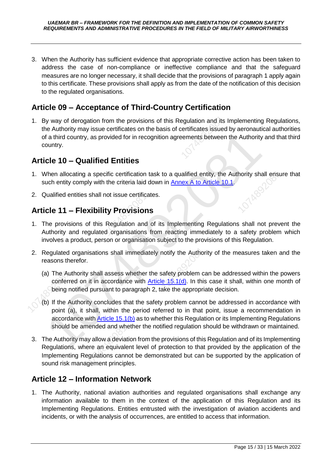3. When the Authority has sufficient evidence that appropriate corrective action has been taken to address the case of non-compliance or ineffective compliance and that the safeguard measures are no longer necessary, it shall decide that the provisions of paragraph 1 apply again to this certificate. These provisions shall apply as from the date of the notification of this decision to the regulated organisations.

#### <span id="page-14-0"></span>**Article 09 – Acceptance of Third-Country Certification**

1. By way of derogation from the provisions of this Regulation and its Implementing Regulations, the Authority may issue certificates on the basis of certificates issued by aeronautical authorities of a third country, as provided for in recognition agreements between the Authority and that third country. 1. By way of derogation from the provisions of this Regulation and its<br>
the Authority may issue certificates on the basis of certificates issue<br>
of a third country, as provided for in recognition agreements betweer<br>
count

#### <span id="page-14-1"></span>**Article 10 – Qualified Entities**

- 1. When allocating a specific certification task to a qualified entity, the Authority shall ensure that such entity comply with the criteria laid down in **Annex A to Article 10.1**.
- 2. Qualified entities shall not issue certificates.

#### <span id="page-14-2"></span>**Article 11 – Flexibility Provisions**

- 1. The provisions of this Regulation and of its Implementing Regulations shall not prevent the Authority and regulated organisations from reacting immediately to a safety problem which involves a product, person or organisation subject to the provisions of this Regulation.
- 2. Regulated organisations shall immediately notify the Authority of the measures taken and the reasons therefor.
	- (a) The Authority shall assess whether the safety problem can be addressed within the powers conferred on it in accordance with Article 15.1(d). In this case it shall, within one month of being notified pursuant to paragraph 2, take the appropriate decision.
- (b) If the Authority concludes that the safety problem cannot be addressed in accordance with point (a), it shall, within the period referred to in that point, issue a recommendation in accordance with Article  $15.1(b)$  as to whether this Regulation or its Implementing Regulations should be amended and whether the notified regulation should be withdrawn or maintained. a rain country, as provided of in recogninon agreements between the Authority and<br>buntry.<br> **Cle 10 – Qualified Entities**<br>
The allocating a specific certification task to a qualified entity, the Authority shall exhchemity c a specific certification task to a qualified entity, the Authority shall ensity with the criteria laid down in <u>Annex A to Article 10.1</u><br>
s shall not issue certificates.<br> **Exibility Provisions**<br>
stability **Provisions**<br>
of
- 3. The Authority may allow a deviation from the provisions of this Regulation and of its Implementing Regulations, where an equivalent level of protection to that provided by the application of the Implementing Regulations cannot be demonstrated but can be supported by the application of sound risk management principles.

#### <span id="page-14-3"></span>**Article 12 – Information Network**

1. The Authority, national aviation authorities and regulated organisations shall exchange any information available to them in the context of the application of this Regulation and its Implementing Regulations. Entities entrusted with the investigation of aviation accidents and incidents, or with the analysis of occurrences, are entitled to access that information.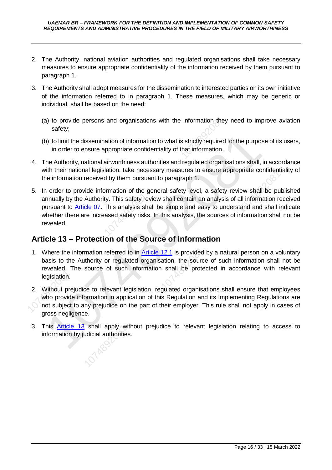- 2. The Authority, national aviation authorities and regulated organisations shall take necessary measures to ensure appropriate confidentiality of the information received by them pursuant to paragraph 1.
- 3. The Authority shall adopt measures for the dissemination to interested parties on its own initiative of the information referred to in paragraph 1. These measures, which may be generic or individual, shall be based on the need:
	- (a) to provide persons and organisations with the information they need to improve aviation safety;
	- (b) to limit the dissemination of information to what is strictly required for the purpose of its users, in order to ensure appropriate confidentiality of that information.
- 4. The Authority, national airworthiness authorities and regulated organisations shall, in accordance with their national legislation, take necessary measures to ensure appropriate confidentiality of the information received by them pursuant to paragraph 1.
- 5. In order to provide information of the general safety level, a safety review shall be published annually by the Authority. This safety review shall contain an analysis of all information received pursuant to Article 07. This analysis shall be simple and easy to understand and shall indicate whether there are increased safety risks. In this analysis, the sources of information shall not be revealed. (b) to limit the dissemination of information to what is strictly required for the purpose of in order to ensure appropriate confidentiality of that information.<br>The Authority, national airworthiness authorities and regul (a) to provide persons and organisations with the information they safety;<br>
(b) to limit the dissemination of information to what is strictly required<br>
in order to ensure appropriate confidentiality of that information.<br> The reserved by them pursuant to paragraph 1.<br>
The received by them pursuant to paragraph 1.<br>
The information of the general safety level, a safety review shall be pursuant to paragraph 1.<br>
Authority. This safety review sh

#### <span id="page-15-0"></span>**Article 13 – Protection of the Source of Information**

- 1. Where the information referred to in **Article 12.1** is provided by a natural person on a voluntary basis to the Authority or regulated organisation, the source of such information shall not be revealed. The source of such information shall be protected in accordance with relevant legislation.
- 2. Without prejudice to relevant legislation, regulated organisations shall ensure that employees who provide information in application of this Regulation and its Implementing Regulations are not subject to any prejudice on the part of their employer. This rule shall not apply in cases of gross negligence.
- 3. This **Article 13** shall apply without prejudice to relevant legislation relating to access to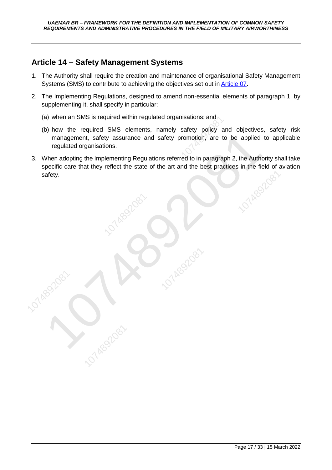#### <span id="page-16-0"></span>**Article 14 – Safety Management Systems**

- 1. The Authority shall require the creation and maintenance of organisational Safety Management Systems (SMS) to contribute to achieving the objectives set out in Article 07.
- 2. The Implementing Regulations, designed to amend non-essential elements of paragraph 1, by supplementing it, shall specify in particular:
	- (a) when an SMS is required within regulated organisations; and
	- (b) how the required SMS elements, namely safety policy and objectives, safety risk management, safety assurance and safety promotion, are to be applied to applicable regulated organisations.
- 3. When adopting the Implementing Regulations referred to in paragraph 2, the Authority shall take specific care that they reflect the state of the art and the best practices in the field of aviation management, safety assurance and safety promotion, are to be applied to<br>regulated organisations.<br>When adopting the Implementing Regulations referred to in paragraph 2, the Authority<br>specific care that they reflect the stat (a) when an sivis is feldined within regulated organisations, and<br>
(b) how the required SMS elements, namely safety policy at<br>
management, safety assurance and safety promotion, are to<br>
regulated organisations.<br>
Solven ado 10Thespeed of Mariage Contractions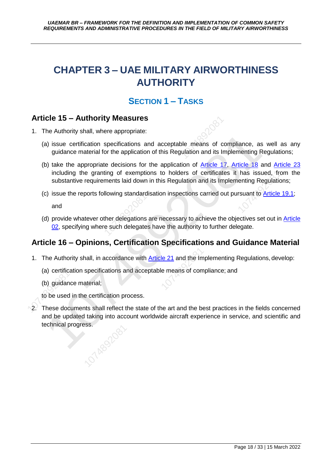# <span id="page-17-0"></span>**CHAPTER 3 – UAE MILITARY AIRWORTHINESS AUTHORITY**

## **SECTION 1 – TASKS**

#### <span id="page-17-2"></span><span id="page-17-1"></span>**Article 15 – Authority Measures**

- 1. The Authority shall, where appropriate:
	- (a) issue certification specifications and acceptable means of compliance, as well as any guidance material for the application of this Regulation and its Implementing Regulations;
- (b) take the appropriate decisions for the application of Article 17, Article 18 and Article 23 including the granting of exemptions to holders of certificates it has issued, from the substantive requirements laid down in this Regulation and its Implementing Regulations; Article 15 – Authority Measures<br>
1. The Authority shall, where appropriate:<br>
(a) issue certification specifications and acceptable means of complication and its lm<br>
(b) take the appropriate decisions for the application o
	- (c) issue the reports following standardisation inspections carried out pursuant to Article 19.1;

and

(d) provide whatever other delegations are necessary to achieve the objectives set out in Article 02, specifying where such delegates have the authority to further delegate.

## <span id="page-17-3"></span>**Article 16 – Opinions, Certification Specifications and Guidance Material**

- 1. The Authority shall, in accordance with **Article 21** and the Implementing Regulations, develop:
	- (a) certification specifications and acceptable means of compliance; and
	- (b) guidance material;

to be used in the certification process.

 $\mathbb{R}^2$ . These documents shall reflect the state of the art and the best practices in the fields concerned and be updated taking into account worldwide aircraft experience in service, and scientific and (a) issue certification specifications and acceptable means of compliance, as we guidance material for the application of this Regulation and its Implementing Reguise (b) take the appropriate decisions for the application e granting of exemptions to holders of certificates it has issued, frequirements laid down in this Regulation and its Implementing Regulations poorts following standardisation inspections carried out pursuant to Article to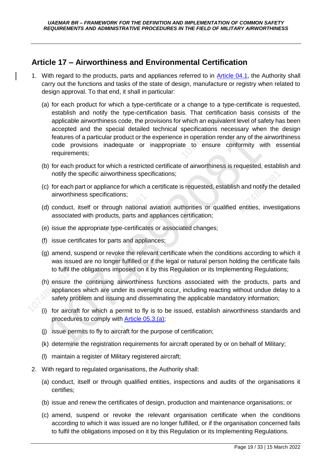#### <span id="page-18-0"></span>**Article 17 – Airworthiness and Environmental Certification**

- 1. With regard to the products, parts and appliances referred to in Article 04.1, the Authority shall carry out the functions and tasks of the state of design, manufacture or registry when related to design approval. To that end, it shall in particular:
- (a) for each product for which a type-certificate or a change to a type-certificate is requested, establish and notify the type-certification basis. That certification basis consists of the applicable airworthiness code, the provisions for which an equivalent level of safety has been accepted and the special detailed technical specifications necessary when the design features of a particular product or the experience in operation render any of the airworthiness code provisions inadequate or inappropriate to ensure conformity with essential requirements; applicable airworthiness code, the provisions for which an equiva<br>accepted and the special detailed technical specifications ne<br>features of a particular product or the experience in operation ren<br>code provisions inadequate
	- (b) for each product for which a restricted certificate of airworthiness is requested, establish and notify the specific airworthiness specifications;
	- (c) for each part or appliance for which a certificate is requested, establish and notify the detailed airworthiness specifications;
	- (d) conduct, itself or through national aviation authorities or qualified entities, investigations associated with products, parts and appliances certification;
	- (e) issue the appropriate type-certificates or associated changes;
	- (f) issue certificates for parts and appliances;
	- (g) amend, suspend or revoke the relevant certificate when the conditions according to which it was issued are no longer fulfilled or if the legal or natural person holding the certificate fails to fulfil the obligations imposed on it by this Regulation or its Implementing Regulations; is external in polarization of the explanation is the condition of the condensity of the propositions indequate or inappropriate to ensure conformity with requirements;<br>
	() for each product for which a restricted certifica ecific airworthiness specifications;<br>to rappliance for which a certificate is requested, establish and notify the is<br>specifications;<br>elf or through national aviation authorities or qualified entities, investivith<br>products,
	- (h) ensure the continuing airworthiness functions associated with the products, parts and appliances which are under its oversight occur, including reacting without undue delay to a safety problem and issuing and disseminating the applicable mandatory information;
	- (i) for aircraft for which a permit to fly is to be issued, establish airworthiness standards and procedures to comply with **Article 05.3.(a)**;
	- (j) issue permits to fly to aircraft for the purpose of certification;
	- (k) determine the registration requirements for aircraft operated by or on behalf of Military;
	- (l) maintain a register of Military registered aircraft;
	- 2. With regard to regulated organisations, the Authority shall:
		- (a) conduct, itself or through qualified entities, inspections and audits of the organisations it certifies;
		- (b) issue and renew the certificates of design, production and maintenance organisations; or
		- (c) amend, suspend or revoke the relevant organisation certificate when the conditions according to which it was issued are no longer fulfilled, or if the organisation concerned fails to fulfil the obligations imposed on it by this Regulation or its Implementing Regulations.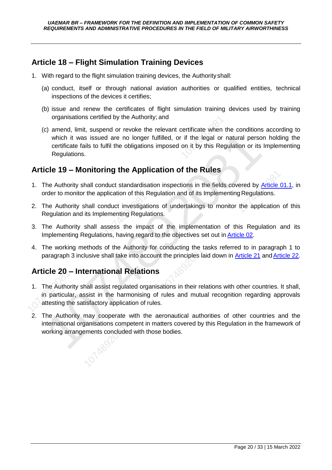#### <span id="page-19-0"></span>**Article 18 – Flight Simulation Training Devices**

- 1. With regard to the flight simulation training devices, the Authority shall:
	- (a) conduct, itself or through national aviation authorities or qualified entities, technical inspections of the devices it certifies;
	- (b) issue and renew the certificates of flight simulation training devices used by training organisations certified by the Authority; and
- (c) amend, limit, suspend or revoke the relevant certificate when the conditions according to which it was issued are no longer fulfilled, or if the legal or natural person holding the certificate fails to fulfil the obligations imposed on it by this Regulation or its Implementing Regulations. organisations centried by the Autiomy, and<br>
(c) amend, limit, suspend or revoke the relevant certificate when<br>
which it was issued are no longer fulfilled, or if the legal or<br>
certificate fails to fulfil the obligations im

#### <span id="page-19-1"></span>**Article 19 – Monitoring the Application of the Rules**

- 1. The Authority shall conduct standardisation inspections in the fields covered by Article 01.1, in order to monitor the application of this Regulation and of its Implementing Regulations.
- 2. The Authority shall conduct investigations of undertakings to monitor the application of this Regulation and its Implementing Regulations.
- 3. The Authority shall assess the impact of the implementation of this Regulation and its Implementing Regulations, having regard to the objectives set out in **Article 02**.
- 4. The working methods of the Authority for conducting the tasks referred to in paragraph 1 to paragraph 3 inclusive shall take into account the principles laid down in Article 21 andArticle 22.

## <span id="page-19-2"></span>**Article 20 – International Relations**

- 1. The Authority shall assist regulated organisations in their relations with other countries. It shall, in particular, assist in the harmonising of rules and mutual recognition regarding approvals attesting the satisfactory application of rules. which it was issued are no longer fulfilled, or if the legal or natural person in certificate falls to fulfil the obligations imposed on it by this Regulation or its Imperations.<br>
Regulations.<br>
The Authority shall conduct **CONTROLLATE STATE AND THE CONTROLLATE STATE OF A CONSERVATION CONSERVATION**<br>
The application of this Regulation and of its Implementing Regulations.<br>
Shall conduct investigations of undertakings to monitor the application
- 2. The Authority may cooperate with the aeronautical authorities of other countries and the international organisations competent in matters covered by this Regulation in the framework of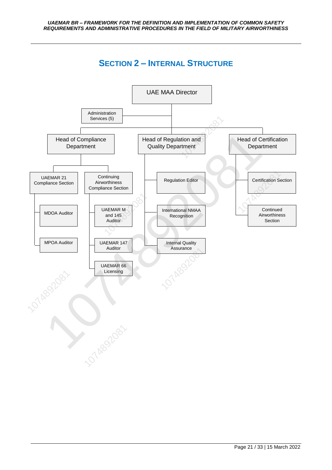## **SECTION 2 – INTERNAL STRUCTURE**

<span id="page-20-0"></span>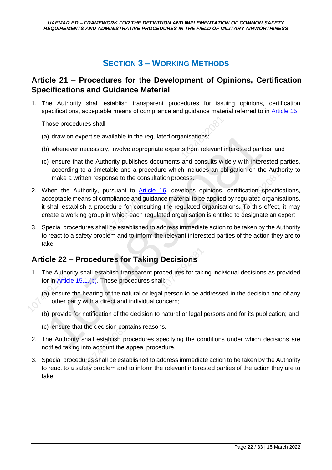## **SECTION 3 – WORKING METHODS**

#### <span id="page-21-1"></span><span id="page-21-0"></span>**Article 21 – Procedures for the Development of Opinions, Certification Specifications and Guidance Material**

1. The Authority shall establish transparent procedures for issuing opinions, certification specifications, acceptable means of compliance and guidance material referred to in Article 15.

Those procedures shall:

- (a) draw on expertise available in the regulated organisations;
- (b) whenever necessary, involve appropriate experts from relevant interested parties; and
- (c) ensure that the Authority publishes documents and consults widely with interested parties, according to a timetable and a procedure which includes an obligation on the Authority to make a written response to the consultation process.
- 2. When the Authority, pursuant to **Article 16**, develops opinions, certification specifications, acceptable means of compliance and guidance material to be applied by regulated organisations, it shall establish a procedure for consulting the regulated organisations. To this effect, it may create a working group in which each regulated organisation is entitled to designate an expert. I) enter the Authority publishes documents and consider the product of the antifaction of the antifact at the antifact at the antifact at the antifact at the antifact at the antifact at the antifact at  $\frac{1}{2}$  and  $\frac{1}{$ Those procedures shall:<br>
(a) draw on expertise available in the regulated organisations;<br>
(b) whenever necessary, involve appropriate experts from relevant in<br>
(c) ensure that the Authority publishes documents and consult For inspective the consultation process.<br>
Then response to the consultation process.<br>
In response to the consultation process.<br>
In a procedure for consulting the regulated organisations. To this effect,<br>
In a procedure for
	- 3. Special procedures shall be established to address immediate action to be taken by the Authority to react to a safety problem and to inform the relevant interested parties of the action they are to take.

#### <span id="page-21-2"></span>**Article 22 – Procedures for Taking Decisions**

- 1. The Authority shall establish transparent procedures for taking individual decisions as provided for in Article 15.1.(b). Those procedures shall:
	- (a) ensure the hearing of the natural or legal person to be addressed in the decision and of any other party with a direct and individual concern;
	- (b) provide for notification of the decision to natural or legal persons and for its publication; and
	- (c) ensure that the decision contains reasons.
- 2. The Authority shall establish procedures specifying the conditions under which decisions are notified taking into account the appeal procedure.
- 3. Special procedures shall be established to address immediate action to be taken by the Authority to react to a safety problem and to inform the relevant interested parties of the action they are to take.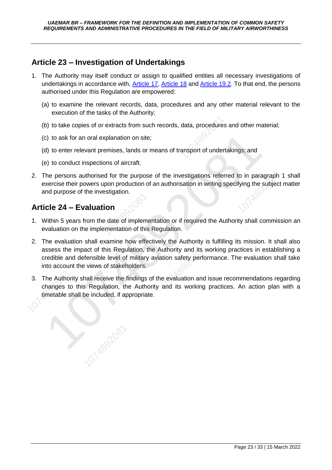#### <span id="page-22-0"></span>**Article 23 – Investigation of Undertakings**

- 1. The Authority may itself conduct or assign to qualified entities all necessary investigations of undertakings in accordance with, Article 17, Article 18 and Article 19.2. To that end, the persons authorised under this Regulation are empowered:
	- (a) to examine the relevant records, data, procedures and any other material relevant to the execution of the tasks of the Authority;
	- (b) to take copies of or extracts from such records, data, procedures and other material;
	- (c) to ask for an oral explanation on site;
	- (d) to enter relevant premises, lands or means of transport of undertakings; and
	- (e) to conduct inspections of aircraft.
- 2. The persons authorised for the purpose of the investigations referred to in paragraph 1 shall exercise their powers upon production of an authorisation in writing specifying the subject matter and purpose of the investigation.

## <span id="page-22-1"></span>**Article 24 – Evaluation**

- 1. Within 5 years from the date of implementation or if required the Authority shall commission an evaluation on the implementation of this Regulation.
- 2. The evaluation shall examine how effectively the Authority is fulfilling its mission. It shall also assess the impact of this Regulation, the Authority and its working practices in establishing a credible and defensible level of military aviation safety performance. The evaluation shall take into account the views of stakeholders. (c) to ask for an oral explanation on site;<br>
(d) to enter relevant premises, lands or means of transport of undertakings; and<br>
(e) to conduct inspections of aircraft.<br>
The persons authorised for the purpose of the investi 109 to take copies of or extracts from such records, data, procedures<br>
1076 to ask for an oral explanation on site;<br>
1079 to enter relevant premises, lands or means of transport of undert<br>
1079 to conduct inspections of a whorised for the purpose of the investigations referred to in paragraph<br>wers upon production of an authorisation in writing specifying the subject<br>the investigation.<br> **Constant in the constant of the constant of the consta** 
	- 3. The Authority shall receive the findings of the evaluation and issue recommendations regarding changes to this Regulation, the Authority and its working practices. An action plan with a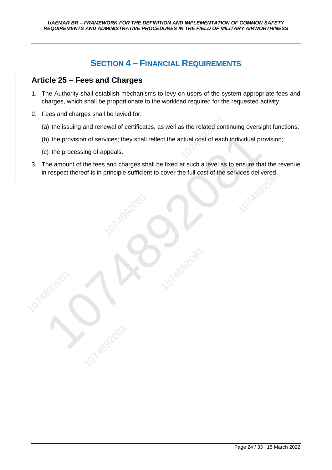## **SECTION 4 – FINANCIAL REQUIREMENTS**

#### <span id="page-23-1"></span><span id="page-23-0"></span>**Article 25 – Fees and Charges**

- 1. The Authority shall establish mechanisms to levy on users of the system appropriate fees and charges, which shall be proportionate to the workload required for the requested activity.
- 2. Fees and charges shall be levied for:
	- (a) the issuing and renewal of certificates, as well as the related continuing oversight functions;
	- (b) the provision of services; they shall reflect the actual cost of each individual provision;
	- (c) the processing of appeals.
- 3. The amount of the fees and charges shall be fixed at such a level as to ensure that the revenue (b) the provision of services; they shall reflect the actual cost of each individual provision<br>
(c) the processing of appeals.<br>
The amount of the fees and charges shall be fixed at such a level as to ensure that the<br>
in r (a) the issuing and renewal of certificates, as well as the related con<br>
(b) the provision of services; they shall reflect the actual cost of each<br>
(c) the processing of appeals.<br>
3. The amount of the fees and charges sha 1074892082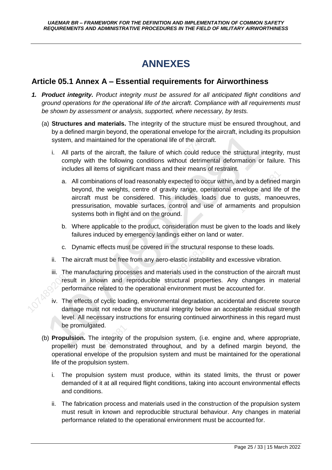## **ANNEXES**

#### <span id="page-24-1"></span><span id="page-24-0"></span>**Article 05.1 Annex A – Essential requirements for Airworthiness**

- *1. Product integrity. Product integrity must be assured for all anticipated flight conditions and ground operations for the operational life of the aircraft. Compliance with all requirements must be shown by assessment or analysis, supported, where necessary, by tests.*
	- (a) **Structures and materials.** The integrity of the structure must be ensured throughout, and by a defined margin beyond, the operational envelope for the aircraft, including its propulsion system, and maintained for the operational life of the aircraft.
		- i. All parts of the aircraft, the failure of which could reduce the structural integrity, must comply with the following conditions without detrimental deformation or failure. This includes all items of significant mass and their means of restraint.
- a. All combinations of load reasonably expected to occur within, and by a defined margin beyond, the weights, centre of gravity range, operational envelope and life of the aircraft must be considered. This includes loads due to gusts, manoeuvres, pressurisation, movable surfaces, control and use of armaments and propulsion systems both in flight and on the ground. system, and maintained for the operational life of the aircraft.<br>
i. All parts of the aircraft, the failure of which could reduce the structural inter-<br>
comply with the following conditions without detrimental deformation (a) **Structures and materials**. The integrity of the structure must the by a defined margin beyond, the operational life of the aircraft.<br>
i. All parts of the aircraft, the failure of which could reduce the comply with the ombinations of load reasonably expected to occur within, and by a defined<br>ond, the weights, centre of gravity range, operational envelope and life<br>aft must be considered. This includes loads due to gusts, mano<br>surisation,
	- b. Where applicable to the product, consideration must be given to the loads and likely failures induced by emergency landings either on land or water.
	- c. Dynamic effects must be covered in the structural response to these loads.
	- ii. The aircraft must be free from any aero-elastic instability and excessive vibration.
	- iii. The manufacturing processes and materials used in the construction of the aircraft must result in known and reproducible structural properties. Any changes in material performance related to the operational environment must be accounted for.
	- iv. The effects of cyclic loading, environmental degradation, accidental and discrete source damage must not reduce the structural integrity below an acceptable residual strength level. All necessary instructions for ensuring continued airworthiness in this regard must be promulgated.
	- (b) **Propulsion.** The integrity of the propulsion system, (i.e. engine and, where appropriate, propeller) must be demonstrated throughout, and by a defined margin beyond, the operational envelope of the propulsion system and must be maintained for the operational life of the propulsion system.
		- i. The propulsion system must produce, within its stated limits, the thrust or power demanded of it at all required flight conditions, taking into account environmental effects and conditions.
		- ii. The fabrication process and materials used in the construction of the propulsion system must result in known and reproducible structural behaviour. Any changes in material performance related to the operational environment must be accounted for.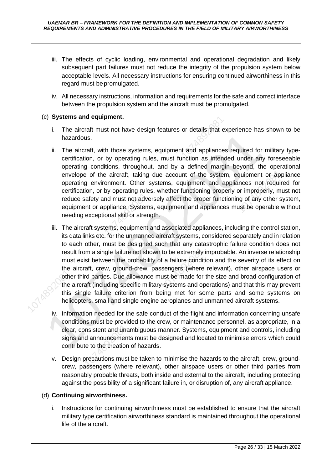- iii. The effects of cyclic loading, environmental and operational degradation and likely subsequent part failures must not reduce the integrity of the propulsion system below acceptable levels. All necessary instructions for ensuring continued airworthiness in this regard must be promulgated.
- iv. All necessary instructions, information and requirements for the safe and correct interface between the propulsion system and the aircraft must be promulgated.

#### (c) **Systems and equipment.**

- i. The aircraft must not have design features or details that experience has shown to be hazardous.
- ii. The aircraft, with those systems, equipment and appliances required for military typecertification, or by operating rules, must function as intended under any foreseeable operating conditions, throughout, and by a defined margin beyond, the operational envelope of the aircraft, taking due account of the system, equipment or appliance operating environment. Other systems, equipment and appliances not required for certification, or by operating rules, whether functioning properly or improperly, must not reduce safety and must not adversely affect the proper functioning of any other system, equipment or appliance. Systems, equipment and appliances must be operable without needing exceptional skill or strength.
- iii. The aircraft systems, equipment and associated appliances, including the control station, its data links etc. for the unmanned aircraft systems, considered separately and in relation to each other, must be designed such that any catastrophic failure condition does not result from a single failure not shown to be extremely improbable. An inverse relationship must exist between the probability of a failure condition and the severity of its effect on the aircraft, crew, ground-crew, passengers (where relevant), other airspace users or other third parties. Due allowance must be made for the size and broad configuration of the aircraft (including specific military systems and operations) and that this may prevent this single failure criterion from being met for some parts and some systems on helicopters, small and single engine aeroplanes and unmanned aircraft systems. nazardous.<br>
ii. The aircraft, with those systems, equipment and appliances required for mil<br>
certification, or by operating rules, must function as intended under any for<br>
certification, or by operating rules, must functio 1074892081 11 The aircraft must not have design features or details that existency<br>
in The aircraft, with those systems, equipment and appliances<br>
certification, or by operating rules, must function as intereor<br>
operating e of the aircraft, taking due account of the system, equipment or approximent. Other systems, equipment and appliances not required information providing profesor or required in and providing trues, and the systems and req
	- iv. Information needed for the safe conduct of the flight and information concerning unsafe conditions must be provided to the crew, or maintenance personnel, as appropriate, in a clear, consistent and unambiguous manner. Systems, equipment and controls, including signs and announcements must be designed and located to minimise errors which could contribute to the creation of hazards.
	- v. Design precautions must be taken to minimise the hazards to the aircraft, crew, groundcrew, passengers (where relevant), other airspace users or other third parties from reasonably probable threats, both inside and external to the aircraft, including protecting against the possibility of a significant failure in, or disruption of, any aircraft appliance.

#### (d) **Continuing airworthiness.**

i. Instructions for continuing airworthiness must be established to ensure that the aircraft military type certification airworthiness standard is maintained throughout the operational life of the aircraft.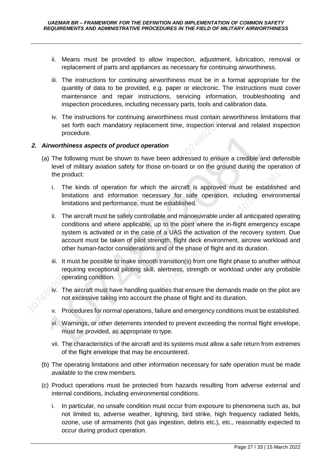- ii. Means must be provided to allow inspection, adjustment, lubrication, removal or replacement of parts and appliances as necessary for continuing airworthiness.
- iii. The instructions for continuing airworthiness must be in a format appropriate for the quantity of data to be provided, e.g. paper or electronic. The instructions must cover maintenance and repair instructions, servicing information, troubleshooting and inspection procedures, including necessary parts, tools and calibration data.
- iv. The instructions for continuing airworthiness must contain airworthiness limitations that set forth each mandatory replacement time, inspection interval and related inspection procedure.

#### *2. Airworthiness aspects of product operation*

- (a) The following must be shown to have been addressed to ensure a credible and defensible level of military aviation safety for those on-board or on the ground during the operation of the product:
	- i. The kinds of operation for which the aircraft is approved must be established and limitations and information necessary for safe operation, including environmental limitations and performance, must be established.
- ii. The aircraft must be safely controllable and manoeuvrable under all anticipated operating conditions and where applicable, up to the point where the in-flight emergency escape system is activated or in the case of a UAS the activation of the recovery system. Due account must be taken of pilot strength, flight deck environment, aircrew workload and other human-factor considerations and of the phase of flight and its duration. diverthiness aspects of product operation<br>
1) The following must be shown to have been addressed to ensure a credible and<br>
1) The following must be shown to have been addressed to ensure a credible and<br>
1) The kinds of ope 1011 In a listuations and **continuity** and **a** set for the ach mandatory replacement time, inspection interprocedure.<br>
2. **Airworthiness aspects of product operation**<br>
(a) The following must be shown to have been addressed ds of operation for which the aircraft is approved must be establish<br>
Ins and information, necessary for safe operation, including enviror<br>
Ins and performance, must be established.<br>
Instant must be safely controllable and
	- iii. It must be possible to make smooth transition(s) from one flight phase to another without requiring exceptional piloting skill, alertness, strength or workload under any probable operating condition.
	- iv. The aircraft must have handling qualities that ensure the demands made on the pilot are not excessive taking into account the phase of flight and its duration.
	- v. Procedures for normal operations, failure and emergency conditions must be established.
	- vi. Warnings, or other deterrents intended to prevent exceeding the normal flight envelope, must be provided, as appropriate to type.
	- vii. The characteristics of the aircraft and its systems must allow a safe return from extremes of the flight envelope that may be encountered.
	- (b) The operating limitations and other information necessary for safe operation must be made available to the crew members.
	- (c) Product operations must be protected from hazards resulting from adverse external and internal conditions, including environmental conditions.
		- i. In particular, no unsafe condition must occur from exposure to phenomena such as, but not limited to, adverse weather, lightning, bird strike, high frequency radiated fields, ozone, use of armaments (hot gas ingestion, debris etc.), etc., reasonably expected to occur during product operation.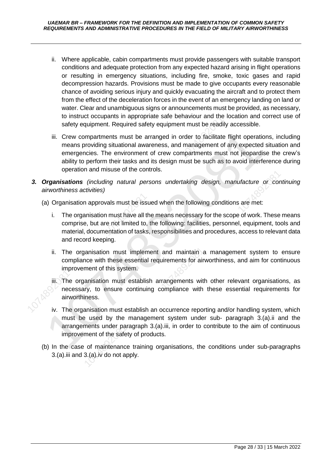- ii. Where applicable, cabin compartments must provide passengers with suitable transport conditions and adequate protection from any expected hazard arising in flight operations or resulting in emergency situations, including fire, smoke, toxic gases and rapid decompression hazards. Provisions must be made to give occupants every reasonable chance of avoiding serious injury and quickly evacuating the aircraft and to protect them from the effect of the deceleration forces in the event of an emergency landing on land or water. Clear and unambiguous signs or announcements must be provided, as necessary, to instruct occupants in appropriate safe behaviour and the location and correct use of safety equipment. Required safety equipment must be readily accessible.
- iii. Crew compartments must be arranged in order to facilitate flight operations, including means providing situational awareness, and management of any expected situation and emergencies. The environment of crew compartments must not jeopardise the crew's ability to perform their tasks and its design must be such as to avoid interference during operation and misuse of the controls. The constraints must be arrangement of the same of valuation and the constraints in the case of maintenact many the predicts.<br>
The ensus providing situational awareness, and management of any expected site<br>
ensure presence 10 matrix couplains in republing cance bureaus in the management. Required safety equipment must be readily<br>
11. Crew compartments must be arranged in order to facilitate<br>
means providing situational awareness, and managem
	- *3. Organisations (including natural persons undertaking design, manufacture or continuing airworthiness activities)*
		- (a) Organisation approvals must be issued when the following conditions are met:
			- i. The organisation must have all the means necessary for the scope of work. These means comprise, but are not limited to, the following: facilities, personnel, equipment, tools and material, documentation of tasks, responsibilities and procedures, access to relevant data and record keeping.
			- ii. The organisation must implement and maintain a management system to ensure compliance with these essential requirements for airworthiness, and aim for continuous improvement of this system.
			- iii. The organisation must establish arrangements with other relevant organisations, as necessary, to ensure continuing compliance with these essential requirements for airworthiness.
- iv. The organisation must establish an occurrence reporting and/or handling system, which must be used by the management system under sub- paragraph 3.(a).ii and the arrangements under paragraph 3.(a).iii, in order to contribute to the aim of continuous improvement of the safety of products. (including natural persons undertaking design, manufacture or conditivities)<br>(including natural persons undertaking design, manufacture or conditivities)<br>approvals must have all the means necessary for the scope of work. T
	- (b) In the case of maintenance training organisations, the conditions under sub-paragraphs 3.(a).iii and 3.(a).iv do not apply.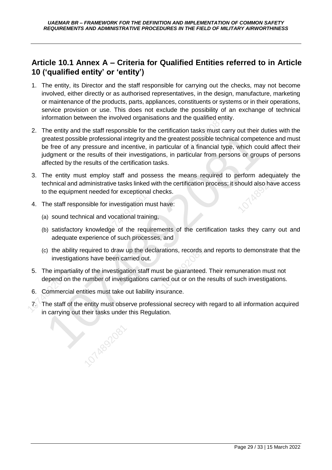#### <span id="page-28-0"></span>**Article 10.1 Annex A – Criteria for Qualified Entities referred to in Article 10 ('qualified entity' or 'entity')**

- 1. The entity, its Director and the staff responsible for carrying out the checks, may not become involved, either directly or as authorised representatives, in the design, manufacture, marketing or maintenance of the products, parts, appliances, constituents or systems or in their operations, service provision or use. This does not exclude the possibility of an exchange of technical information between the involved organisations and the qualified entity.
- 2. The entity and the staff responsible for the certification tasks must carry out their duties with the greatest possible professional integrity and the greatest possible technical competence and must be free of any pressure and incentive, in particular of a financial type, which could affect their judgment or the results of their investigations, in particular from persons or groups of persons affected by the results of the certification tasks. greatest possible professional integrity and the greatest possible technical competence of eny pressure and incentive, in particular of a financial type, which could grament or the results of their investigations, in parti 20 Information between the involved organisations and the qualitied ent<br>
20 The entity and the staff responsible for the certification tasks must ca<br>
20 greatest possible professional integrity and the greatest possible te
	- 3. The entity must employ staff and possess the means required to perform adequately the technical and administrative tasks linked with the certification process; it should also have access to the equipment needed for exceptional checks. It employ staff and possess the means required to perform adequate ministrative tasks linked with the certification process; it should also have the needed for exceptional checks.<br>
	sible for investigation must have:<br>
	sicia
	- 4. The staff responsible for investigation must have:
		- (a) sound technical and vocational training,
		- (b) satisfactory knowledge of the requirements of the certification tasks they carry out and adequate experience of such processes, and
		- (c) the ability required to draw up the declarations, records and reports to demonstrate that the investigations have been carried out.
	- 5. The impartiality of the investigation staff must be guaranteed. Their remuneration must not depend on the number of investigations carried out or on the results of such investigations.
	- 6. Commercial entities must take out liability insurance.
- 7. The staff of the entity must observe professional secrecy with regard to all information acquired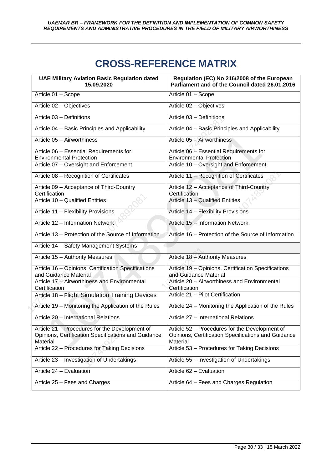# **CROSS-REFERENCE MATRIX**

<span id="page-29-0"></span>

| <b>UAE Military Aviation Basic Regulation dated</b><br>15.09.2020            | Regulation (EC) No 216/2008 of the European<br>Parliament and of the Council dated 26.01.2016 |
|------------------------------------------------------------------------------|-----------------------------------------------------------------------------------------------|
| Article 01 - Scope                                                           | Article 01 - Scope                                                                            |
| Article 02 - Objectives                                                      | Article 02 - Objectives                                                                       |
| Article 03 - Definitions                                                     | Article 03 - Definitions                                                                      |
| Article 04 - Basic Principles and Applicability                              | Article 04 - Basic Principles and Applicability                                               |
| Article 05 - Airworthiness                                                   | Article 05 - Airworthiness                                                                    |
| Article 06 - Essential Requirements for                                      | Article 06 - Essential Requirements for                                                       |
| <b>Environmental Protection</b>                                              | <b>Environmental Protection</b>                                                               |
| Article 07 - Oversight and Enforcement                                       | Article 10 - Oversight and Enforcement                                                        |
| Article 08 - Recognition of Certificates                                     | Article 11 - Recognition of Certificates                                                      |
| Article 09 - Acceptance of Third-Country<br>Certification                    | Article 12 - Acceptance of Third-Country<br>Certification                                     |
| Article 10 - Qualified Entities                                              | Article 13 - Qualified Entities                                                               |
|                                                                              |                                                                                               |
| Article 11 - Flexibility Provisions                                          | Article 14 - Flexibility Provisions                                                           |
| Article 12 - Information Network                                             | Article 15 - Information Network                                                              |
| Article 13 – Protection of the Source of Information                         | Article 16 – Protection of the Source of Information                                          |
| Article 14 - Safety Management Systems                                       |                                                                                               |
| Article 15 - Authority Measures                                              | Article 18 - Authority Measures                                                               |
| Article 16 - Opinions, Certification Specifications<br>and Guidance Material | Article 19 - Opinions, Certification Specifications<br>and Guidance Material                  |
| Article 17 - Airworthiness and Environmental<br>Certification                | Article 20 - Airworthiness and Environmental<br>Certification                                 |
| Article 18 - Flight Simulation Training Devices                              | Article 21 - Pilot Certification                                                              |
| Article 19 - Monitoring the Application of the Rules                         | Article 24 - Monitoring the Application of the Rules                                          |
| Article 20 - International Relations                                         | Article 27 - International Relations                                                          |
| Article 21 - Procedures for the Development of                               | Article 52 - Procedures for the Development of                                                |
| Opinions, Certification Specifications and Guidance                          | Opinions, Certification Specifications and Guidance                                           |
| Material                                                                     | Material                                                                                      |
| Article 22 - Procedures for Taking Decisions                                 | Article 53 - Procedures for Taking Decisions                                                  |
| Article 23 - Investigation of Undertakings                                   | Article 55 - Investigation of Undertakings                                                    |
| Article 24 - Evaluation                                                      | Article 62 - Evaluation                                                                       |
| Article 25 - Fees and Charges                                                | Article 64 - Fees and Charges Regulation                                                      |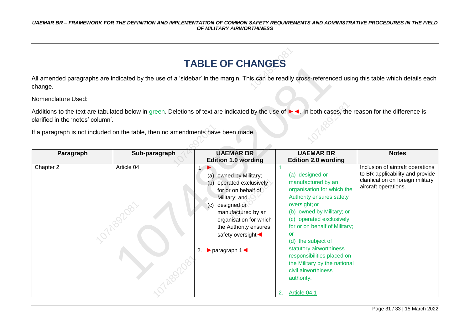#### *UAEMAR BR – FRAMEWORK FOR THE DEFINITION AND IMPLEMENTATION OF COMMON SAFETY REQUIREMENTS AND ADMINISTRATIVE PROCEDURES IN THE FIELD OF MILITARY AIRWORTHINESS*

# **TABLE OF CHANGES**

#### <span id="page-30-0"></span>Nomenclature Used:

|                                   |                                                                                                                                                                                                                                                                                | <b>TABLE OF CHANGES</b>                                                                                                                                                                                                                                                   |                                                                                                                                                                                                                                                                                                                                                                                                         |                                                                                                                                  |
|-----------------------------------|--------------------------------------------------------------------------------------------------------------------------------------------------------------------------------------------------------------------------------------------------------------------------------|---------------------------------------------------------------------------------------------------------------------------------------------------------------------------------------------------------------------------------------------------------------------------|---------------------------------------------------------------------------------------------------------------------------------------------------------------------------------------------------------------------------------------------------------------------------------------------------------------------------------------------------------------------------------------------------------|----------------------------------------------------------------------------------------------------------------------------------|
| change.                           | All amended paragraphs are indicated by the use of a 'sidebar' in the margin. This can be readily cross-referenced using this table which details each                                                                                                                         |                                                                                                                                                                                                                                                                           |                                                                                                                                                                                                                                                                                                                                                                                                         |                                                                                                                                  |
| Nomenclature Used:                |                                                                                                                                                                                                                                                                                |                                                                                                                                                                                                                                                                           |                                                                                                                                                                                                                                                                                                                                                                                                         |                                                                                                                                  |
| clarified in the 'notes' column'. | Additions to the text are tabulated below in green. Deletions of text are indicated by the use of $\blacktriangleright\blacktriangleleft$ . In both cases, the reason for the difference is<br>If a paragraph is not included on the table, then no amendments have been made. |                                                                                                                                                                                                                                                                           |                                                                                                                                                                                                                                                                                                                                                                                                         |                                                                                                                                  |
| Paragraph                         | Sub-paragraph                                                                                                                                                                                                                                                                  | <b>UAEMAR BR</b><br><b>Edition 1.0 wording</b>                                                                                                                                                                                                                            | <b>UAEMAR BR</b><br><b>Edition 2.0 wording</b>                                                                                                                                                                                                                                                                                                                                                          | <b>Notes</b>                                                                                                                     |
| Chapter 2                         | Article 04                                                                                                                                                                                                                                                                     | $1. \triangleright$<br>(a) owned by Military;<br>(b) operated exclusively<br>for or on behalf of<br>Military; and<br>designed or<br>(c)<br>manufactured by an<br>organisation for which<br>the Authority ensures<br>safety oversight<br>$\blacktriangleright$ paragraph 1 | 1.<br>(a) designed or<br>manufactured by an<br>organisation for which the<br>Authority ensures safety<br>oversight; or<br>(b) owned by Military; or<br>(c) operated exclusively<br>for or on behalf of Military;<br><b>or</b><br>(d) the subject of<br>statutory airworthiness<br>responsibilities placed on<br>the Military by the national<br>civil airworthiness<br>authority.<br>Article 04.1<br>2. | Inclusion of aircraft operations<br>to BR applicability and provide<br>clarification on foreign military<br>aircraft operations. |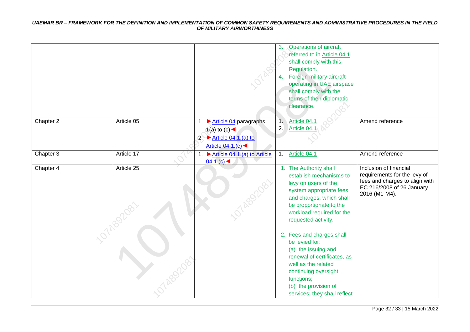#### *UAEMAR BR – FRAMEWORK FOR THE DEFINITION AND IMPLEMENTATION OF COMMON SAFETY REQUIREMENTS AND ADMINISTRATIVE PROCEDURES IN THE FIELD OF MILITARY AIRWORTHINESS*

|           |            |                                                                                                               | 3.       | <b>Operations of aircraft</b><br>referred to in Article 04.1<br>shall comply with this<br>Regulation.<br>Foreign military aircraft<br>operating in UAE airspace<br>shall comply with the<br>terms of their diplomatic<br>clearance.                                                                                                                                                                                                       |                                                                                                                                        |
|-----------|------------|---------------------------------------------------------------------------------------------------------------|----------|-------------------------------------------------------------------------------------------------------------------------------------------------------------------------------------------------------------------------------------------------------------------------------------------------------------------------------------------------------------------------------------------------------------------------------------------|----------------------------------------------------------------------------------------------------------------------------------------|
| Chapter 2 | Article 05 | 1. • Article 04 paragraphs<br>$1(a)$ to $(c)$<br>2. $\triangleright$ Article 04.1.(a) to<br>Article $04.1(c)$ | 1.<br>2. | Article 04.1<br>Article 04.1                                                                                                                                                                                                                                                                                                                                                                                                              | Amend reference                                                                                                                        |
| Chapter 3 | Article 17 | Article 04.1.(a) to Article<br>1.<br>04.1(c)                                                                  | 1.       | Article 04.1                                                                                                                                                                                                                                                                                                                                                                                                                              | Amend reference                                                                                                                        |
| Chapter 4 | Article 25 |                                                                                                               |          | 1. The Authority shall<br>establish mechanisms to<br>levy on users of the<br>system appropriate fees<br>and charges, which shall<br>be proportionate to the<br>workload required for the<br>requested activity.<br>2. Fees and charges shall<br>be levied for:<br>(a) the issuing and<br>renewal of certificates, as<br>well as the related<br>continuing oversight<br>functions;<br>(b) the provision of<br>services; they shall reflect | Inclusion of financial<br>requirements for the levy of<br>fees and charges to align with<br>EC 216/2008 of 26 January<br>2016 (M1-M4). |